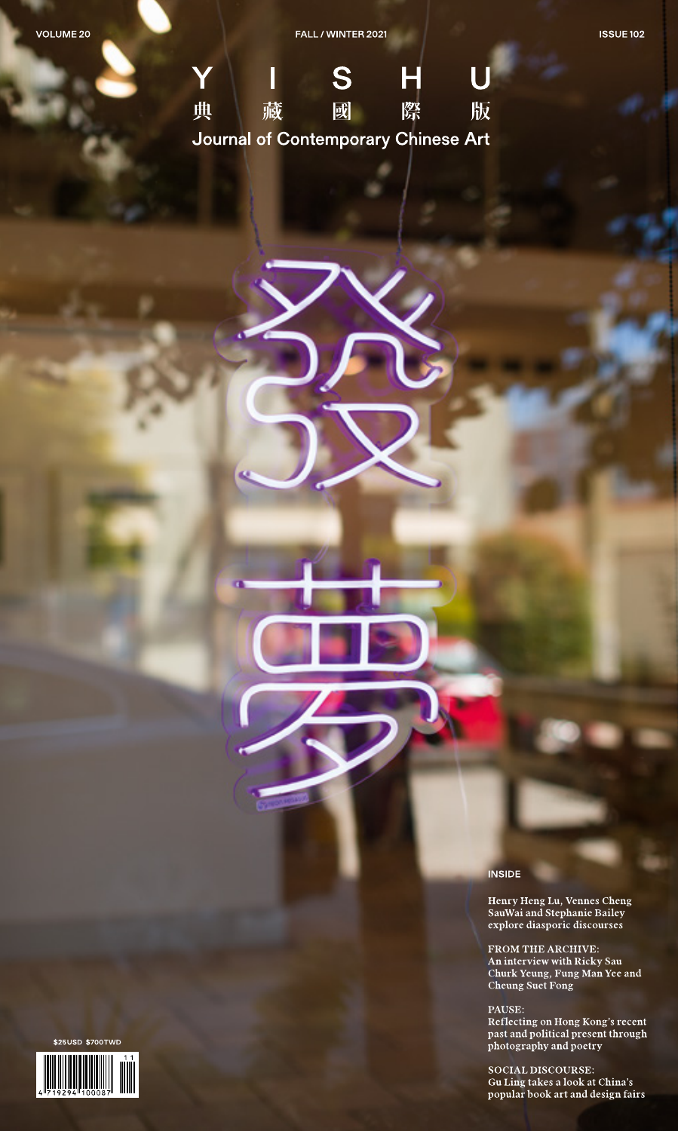

**INSIDE** 

Henry Heng Lu, Vennes Cheng<br>SauWai and Stephanie Bailey<br>explore diasporic discourses

FROM THE ARCHIVE:<br>An interview with Ricky Sau<br>Churk Yeung, Fung Man Yee and<br>Cheung Suet Fong

PAUSE:

Reflecting on Hong Kong's recent past and political present through<br>photography and poetry

SOCIAL DISCOURSE: Gu Ling takes a look at China's popular book art and design fairs

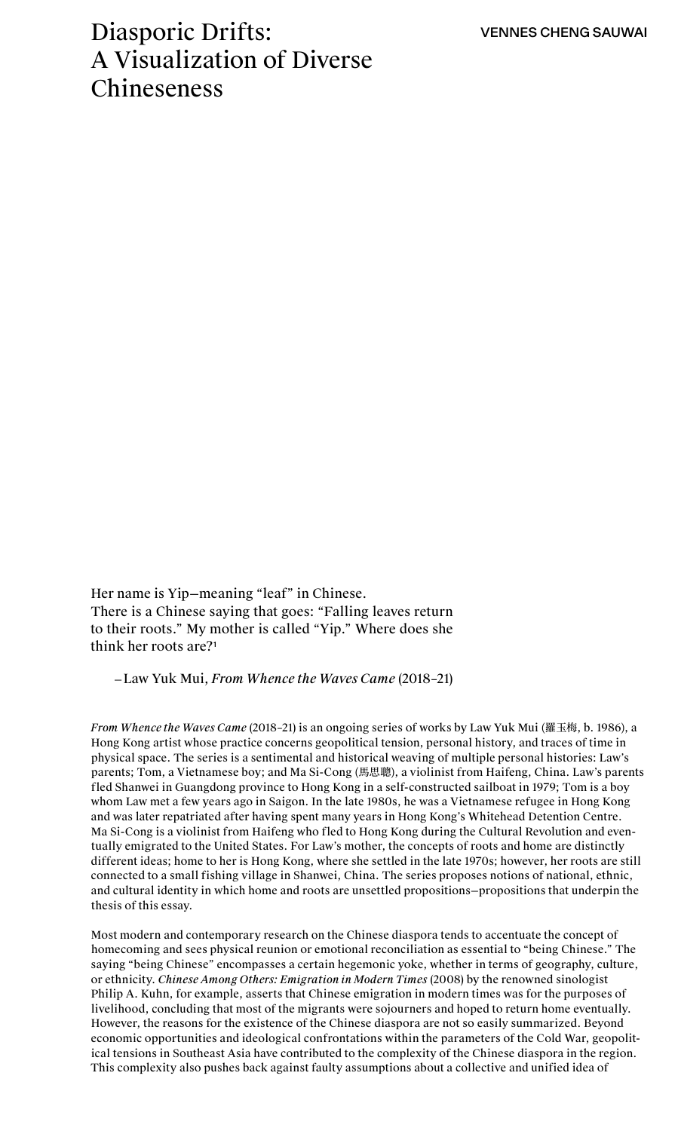# Diasporic Drifts: A Visualization of Diverse Chineseness

Her name is Yip—meaning "leaf" in Chinese. There is a Chinese saying that goes: "Falling leaves return to their roots." My mother is called "Yip." Where does she think her roots are?<sup>1</sup>

—Law Yuk Mui, *From Whence the Waves Came* (2018–21)

*From Whence the Waves Came* (2018–21) is an ongoing series of works by Law Yuk Mui (羅玉梅, b. 1986), a Hong Kong artist whose practice concerns geopolitical tension, personal history, and traces of time in physical space. The series is a sentimental and historical weaving of multiple personal histories: Law's parents; Tom, a Vietnamese boy; and Ma Si-Cong (馬思聰), a violinist from Haifeng, China. Law's parents fled Shanwei in Guangdong province to Hong Kong in a self-constructed sailboat in 1979; Tom is a boy whom Law met a few years ago in Saigon. In the late 1980s, he was a Vietnamese refugee in Hong Kong and was later repatriated after having spent many years in Hong Kong's Whitehead Detention Centre. Ma Si-Cong is a violinist from Haifeng who fled to Hong Kong during the Cultural Revolution and eventually emigrated to the United States. For Law's mother, the concepts of roots and home are distinctly different ideas; home to her is Hong Kong, where she settled in the late 1970s; however, her roots are still connected to a small fishing village in Shanwei, China. The series proposes notions of national, ethnic, and cultural identity in which home and roots are unsettled propositions—propositions that underpin the thesis of this essay.

Most modern and contemporary research on the Chinese diaspora tends to accentuate the concept of homecoming and sees physical reunion or emotional reconciliation as essential to "being Chinese." The saying "being Chinese" encompasses a certain hegemonic yoke, whether in terms of geography, culture, or ethnicity. *Chinese Among Others: Emigration in Modern Times* (2008) by the renowned sinologist Philip A. Kuhn, for example, asserts that Chinese emigration in modern times was for the purposes of livelihood, concluding that most of the migrants were sojourners and hoped to return home eventually. However, the reasons for the existence of the Chinese diaspora are not so easily summarized. Beyond economic opportunities and ideological confrontations within the parameters of the Cold War, geopolitical tensions in Southeast Asia have contributed to the complexity of the Chinese diaspora in the region. This complexity also pushes back against faulty assumptions about a collective and unified idea of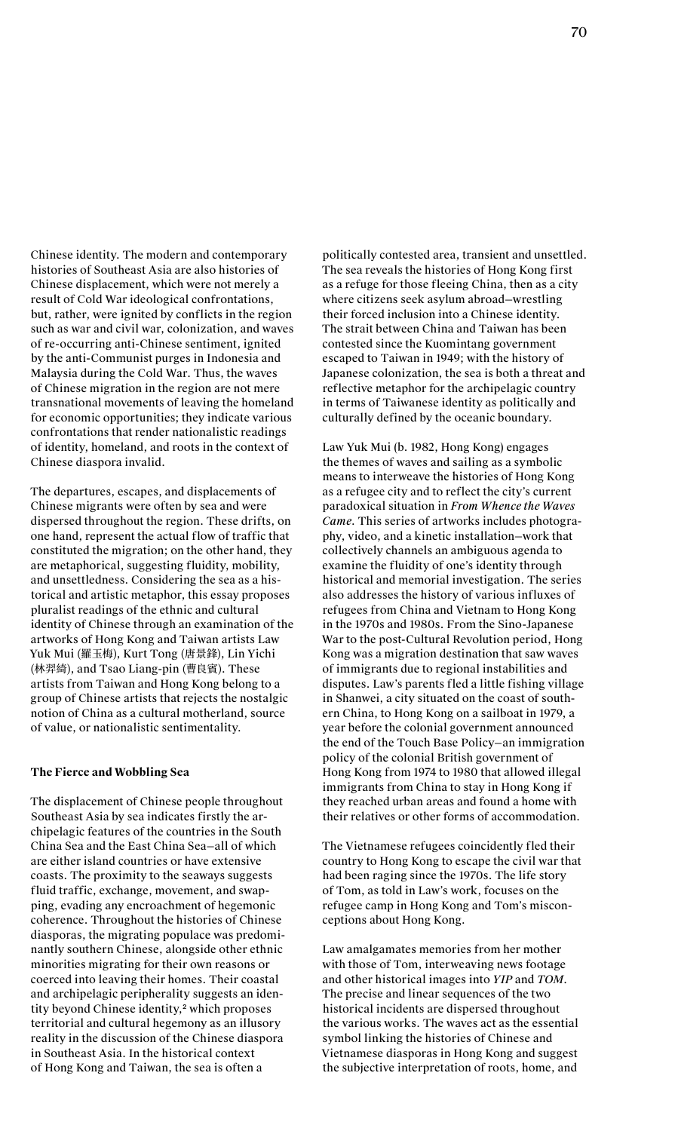Chinese identity. The modern and contemporary histories of Southeast Asia are also histories of Chinese displacement, which were not merely a result of Cold War ideological confrontations, but, rather, were ignited by conflicts in the region such as war and civil war, colonization, and waves of re-occurring anti-Chinese sentiment, ignited by the anti-Communist purges in Indonesia and Malaysia during the Cold War. Thus, the waves of Chinese migration in the region are not mere transnational movements of leaving the homeland for economic opportunities; they indicate various confrontations that render nationalistic readings of identity, homeland, and roots in the context of Chinese diaspora invalid.

The departures, escapes, and displacements of Chinese migrants were often by sea and were dispersed throughout the region. These drifts, on one hand, represent the actual flow of traffic that constituted the migration; on the other hand, they are metaphorical, suggesting fluidity, mobility, and unsettledness. Considering the sea as a historical and artistic metaphor, this essay proposes pluralist readings of the ethnic and cultural identity of Chinese through an examination of the artworks of Hong Kong and Taiwan artists Law Yuk Mui (羅玉梅), Kurt Tong (唐景鋒), Lin Yichi (林羿綺), and Tsao Liang-pin (曹良賓). These artists from Taiwan and Hong Kong belong to a group of Chinese artists that rejects the nostalgic notion of China as a cultural motherland, source of value, or nationalistic sentimentality.

#### **The Fierce and Wobbling Sea**

The displacement of Chinese people throughout Southeast Asia by sea indicates firstly the archipelagic features of the countries in the South China Sea and the East China Sea—all of which are either island countries or have extensive coasts. The proximity to the seaways suggests fluid traffic, exchange, movement, and swapping, evading any encroachment of hegemonic coherence. Throughout the histories of Chinese diasporas, the migrating populace was predominantly southern Chinese, alongside other ethnic minorities migrating for their own reasons or coerced into leaving their homes. Their coastal and archipelagic peripherality suggests an identity beyond Chinese identity,<sup>2</sup> which proposes territorial and cultural hegemony as an illusory reality in the discussion of the Chinese diaspora in Southeast Asia. In the historical context of Hong Kong and Taiwan, the sea is often a

politically contested area, transient and unsettled. The sea reveals the histories of Hong Kong first as a refuge for those fleeing China, then as a city where citizens seek asylum abroad—wrestling their forced inclusion into a Chinese identity. The strait between China and Taiwan has been contested since the Kuomintang government escaped to Taiwan in 1949; with the history of Japanese colonization, the sea is both a threat and reflective metaphor for the archipelagic country in terms of Taiwanese identity as politically and culturally defined by the oceanic boundary.

Law Yuk Mui (b. 1982, Hong Kong) engages the themes of waves and sailing as a symbolic means to interweave the histories of Hong Kong as a refugee city and to reflect the city's current paradoxical situation in *From Whence the Waves Came*. This series of artworks includes photography, video, and a kinetic installation—work that collectively channels an ambiguous agenda to examine the fluidity of one's identity through historical and memorial investigation. The series also addresses the history of various influxes of refugees from China and Vietnam to Hong Kong in the 1970s and 1980s. From the Sino-Japanese War to the post-Cultural Revolution period, Hong Kong was a migration destination that saw waves of immigrants due to regional instabilities and disputes. Law's parents fled a little fishing village in Shanwei, a city situated on the coast of southern China, to Hong Kong on a sailboat in 1979, a year before the colonial government announced the end of the Touch Base Policy—an immigration policy of the colonial British government of Hong Kong from 1974 to 1980 that allowed illegal immigrants from China to stay in Hong Kong if they reached urban areas and found a home with their relatives or other forms of accommodation.

The Vietnamese refugees coincidently fled their country to Hong Kong to escape the civil war that had been raging since the 1970s. The life story of Tom, as told in Law's work, focuses on the refugee camp in Hong Kong and Tom's misconceptions about Hong Kong.

Law amalgamates memories from her mother with those of Tom, interweaving news footage and other historical images into *YIP* and *TOM*. The precise and linear sequences of the two historical incidents are dispersed throughout the various works. The waves act as the essential symbol linking the histories of Chinese and Vietnamese diasporas in Hong Kong and suggest the subjective interpretation of roots, home, and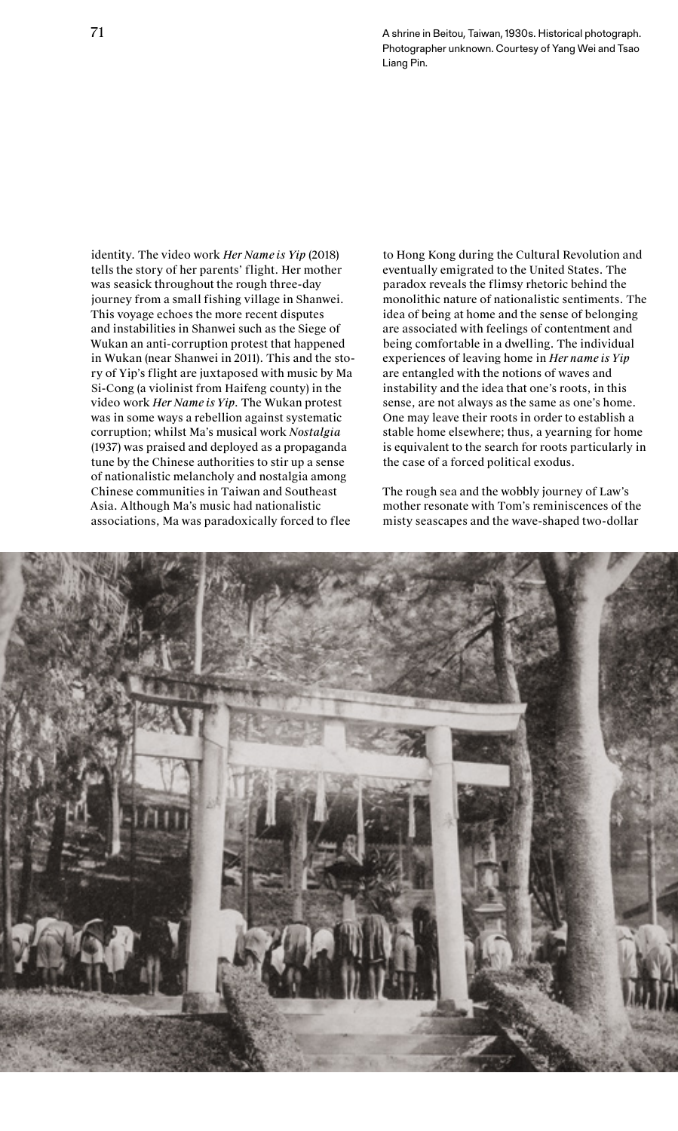71 A shrine in Beitou, Taiwan, 1930s. Historical photograph. Photographer unknown. Courtesy of Yang Wei and Tsao Liang Pin.

identity. The video work *Her Name is Yip* (2018) tells the story of her parents' flight. Her mother was seasick throughout the rough three-day journey from a small fishing village in Shanwei. This voyage echoes the more recent disputes and instabilities in Shanwei such as the Siege of Wukan an anti-corruption protest that happened in Wukan (near Shanwei in 2011). This and the story of Yip's flight are juxtaposed with music by Ma Si-Cong (a violinist from Haifeng county) in the video work *Her Name is Yip*. The Wukan protest was in some ways a rebellion against systematic corruption; whilst Ma's musical work *Nostalgia*  (1937) was praised and deployed as a propaganda tune by the Chinese authorities to stir up a sense of nationalistic melancholy and nostalgia among Chinese communities in Taiwan and Southeast Asia. Although Ma's music had nationalistic associations, Ma was paradoxically forced to flee

to Hong Kong during the Cultural Revolution and eventually emigrated to the United States. The paradox reveals the flimsy rhetoric behind the monolithic nature of nationalistic sentiments. The idea of being at home and the sense of belonging are associated with feelings of contentment and being comfortable in a dwelling. The individual experiences of leaving home in *Her name is Yip* are entangled with the notions of waves and instability and the idea that one's roots, in this sense, are not always as the same as one's home. One may leave their roots in order to establish a stable home elsewhere; thus, a yearning for home is equivalent to the search for roots particularly in the case of a forced political exodus.

The rough sea and the wobbly journey of Law's mother resonate with Tom's reminiscences of the misty seascapes and the wave-shaped two-dollar

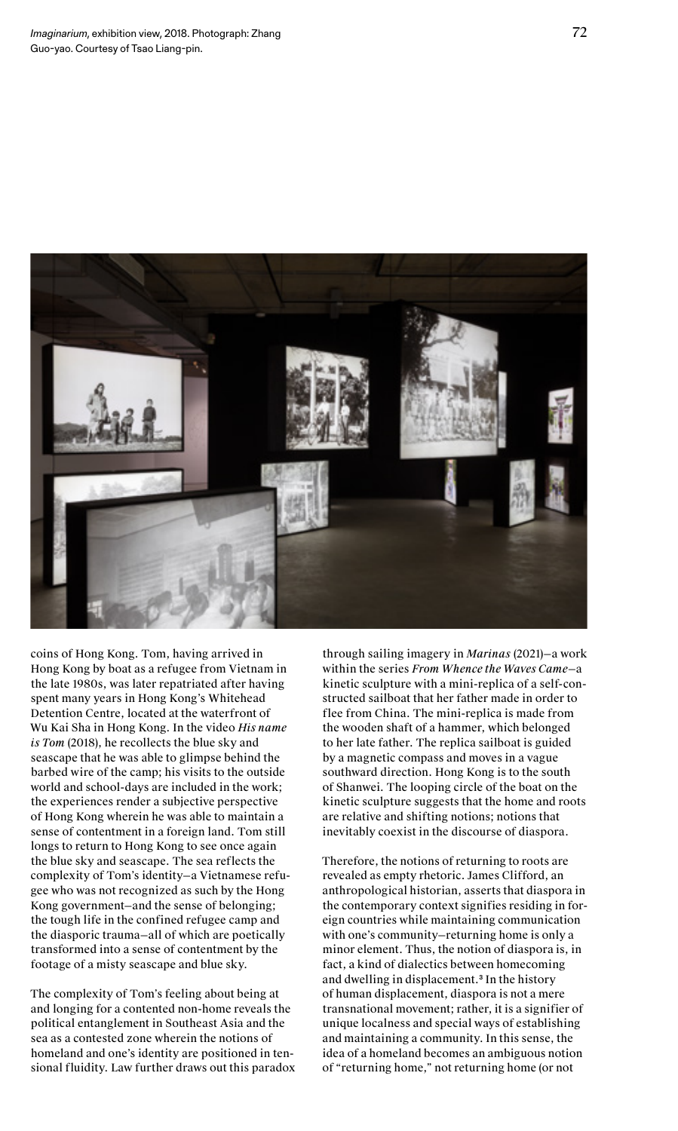

coins of Hong Kong. Tom, having arrived in Hong Kong by boat as a refugee from Vietnam in the late 1980s, was later repatriated after having spent many years in Hong Kong's Whitehead Detention Centre, located at the waterfront of Wu Kai Sha in Hong Kong. In the video *His name is Tom* (2018), he recollects the blue sky and seascape that he was able to glimpse behind the barbed wire of the camp; his visits to the outside world and school-days are included in the work; the experiences render a subjective perspective of Hong Kong wherein he was able to maintain a sense of contentment in a foreign land. Tom still longs to return to Hong Kong to see once again the blue sky and seascape. The sea reflects the complexity of Tom's identity—a Vietnamese refugee who was not recognized as such by the Hong Kong government—and the sense of belonging; the tough life in the confined refugee camp and the diasporic trauma—all of which are poetically transformed into a sense of contentment by the footage of a misty seascape and blue sky.

The complexity of Tom's feeling about being at and longing for a contented non-home reveals the political entanglement in Southeast Asia and the sea as a contested zone wherein the notions of homeland and one's identity are positioned in tensional fluidity. Law further draws out this paradox through sailing imagery in *Marinas* (2021)—a work within the series *From Whence the Waves Came*—a kinetic sculpture with a mini-replica of a self-constructed sailboat that her father made in order to flee from China. The mini-replica is made from the wooden shaft of a hammer, which belonged to her late father. The replica sailboat is guided by a magnetic compass and moves in a vague southward direction. Hong Kong is to the south of Shanwei. The looping circle of the boat on the kinetic sculpture suggests that the home and roots are relative and shifting notions; notions that inevitably coexist in the discourse of diaspora.

Therefore, the notions of returning to roots are revealed as empty rhetoric. James Clifford, an anthropological historian, asserts that diaspora in the contemporary context signifies residing in foreign countries while maintaining communication with one's community—returning home is only a minor element. Thus, the notion of diaspora is, in fact, a kind of dialectics between homecoming and dwelling in displacement.<sup>3</sup> In the history of human displacement, diaspora is not a mere transnational movement; rather, it is a signifier of unique localness and special ways of establishing and maintaining a community. In this sense, the idea of a homeland becomes an ambiguous notion of "returning home," not returning home (or not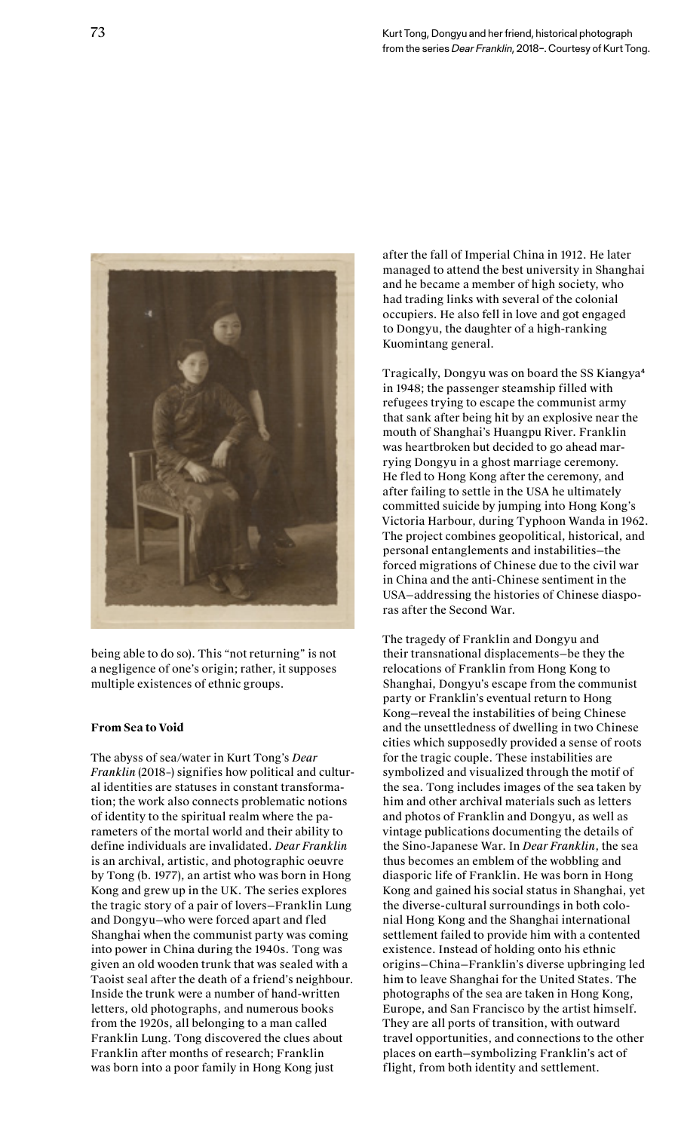

being able to do so). This "not returning" is not a negligence of one's origin; rather, it supposes multiple existences of ethnic groups.

### **From Sea to Void**

The abyss of sea/water in Kurt Tong's *Dear Franklin* (2018–) signifies how political and cultural identities are statuses in constant transformation; the work also connects problematic notions of identity to the spiritual realm where the parameters of the mortal world and their ability to define individuals are invalidated. *Dear Franklin* is an archival, artistic, and photographic oeuvre by Tong (b. 1977), an artist who was born in Hong Kong and grew up in the UK. The series explores the tragic story of a pair of lovers—Franklin Lung and Dongyu—who were forced apart and fled Shanghai when the communist party was coming into power in China during the 1940s. Tong was given an old wooden trunk that was sealed with a Taoist seal after the death of a friend's neighbour. Inside the trunk were a number of hand-written letters, old photographs, and numerous books from the 1920s, all belonging to a man called Franklin Lung. Tong discovered the clues about Franklin after months of research; Franklin was born into a poor family in Hong Kong just

after the fall of Imperial China in 1912. He later managed to attend the best university in Shanghai and he became a member of high society, who had trading links with several of the colonial occupiers. He also fell in love and got engaged to Dongyu, the daughter of a high-ranking Kuomintang general.

Tragically, Dongyu was on board the SS Kiangya<sup>4</sup> in 1948; the passenger steamship filled with refugees trying to escape the communist army that sank after being hit by an explosive near the mouth of Shanghai's Huangpu River. Franklin was heartbroken but decided to go ahead marrying Dongyu in a ghost marriage ceremony. He fled to Hong Kong after the ceremony, and after failing to settle in the USA he ultimately committed suicide by jumping into Hong Kong's Victoria Harbour, during Typhoon Wanda in 1962. The project combines geopolitical, historical, and personal entanglements and instabilities—the forced migrations of Chinese due to the civil war in China and the anti-Chinese sentiment in the USA—addressing the histories of Chinese diasporas after the Second War.

The tragedy of Franklin and Dongyu and their transnational displacements—be they the relocations of Franklin from Hong Kong to Shanghai, Dongyu's escape from the communist party or Franklin's eventual return to Hong Kong—reveal the instabilities of being Chinese and the unsettledness of dwelling in two Chinese cities which supposedly provided a sense of roots for the tragic couple. These instabilities are symbolized and visualized through the motif of the sea. Tong includes images of the sea taken by him and other archival materials such as letters and photos of Franklin and Dongyu, as well as vintage publications documenting the details of the Sino-Japanese War. In *Dear Franklin*, the sea thus becomes an emblem of the wobbling and diasporic life of Franklin. He was born in Hong Kong and gained his social status in Shanghai, yet the diverse-cultural surroundings in both colonial Hong Kong and the Shanghai international settlement failed to provide him with a contented existence. Instead of holding onto his ethnic origins—China—Franklin's diverse upbringing led him to leave Shanghai for the United States. The photographs of the sea are taken in Hong Kong, Europe, and San Francisco by the artist himself. They are all ports of transition, with outward travel opportunities, and connections to the other places on earth—symbolizing Franklin's act of flight, from both identity and settlement.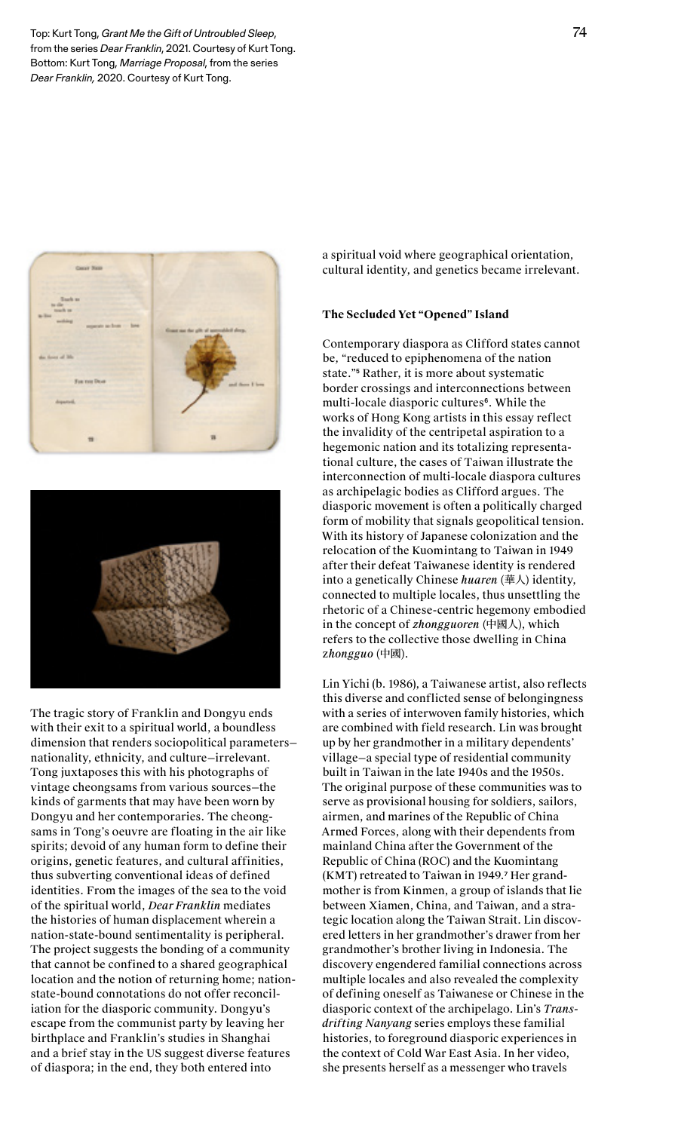Top: Kurt Tong, *Grant Me the Gift of Untroubled Sleep*, from the series *Dear Franklin*, 2021. Courtesy of Kurt Tong. Bottom: Kurt Tong, *Marriage Proposal*, from the series *Dear Franklin,* 2020. Courtesy of Kurt Tong.





The tragic story of Franklin and Dongyu ends with their exit to a spiritual world, a boundless dimension that renders sociopolitical parameters nationality, ethnicity, and culture—irrelevant. Tong juxtaposes this with his photographs of vintage cheongsams from various sources—the kinds of garments that may have been worn by Dongyu and her contemporaries. The cheongsams in Tong's oeuvre are floating in the air like spirits; devoid of any human form to define their origins, genetic features, and cultural affinities, thus subverting conventional ideas of defined identities. From the images of the sea to the void of the spiritual world, *Dear Franklin* mediates the histories of human displacement wherein a nation-state-bound sentimentality is peripheral. The project suggests the bonding of a community that cannot be confined to a shared geographical location and the notion of returning home; nationstate-bound connotations do not offer reconciliation for the diasporic community. Dongyu's escape from the communist party by leaving her birthplace and Franklin's studies in Shanghai and a brief stay in the US suggest diverse features of diaspora; in the end, they both entered into

a spiritual void where geographical orientation, cultural identity, and genetics became irrelevant.

#### **The Secluded Yet "Opened" Island**

Contemporary diaspora as Clifford states cannot be*,* "reduced to epiphenomena of the nation state."<sup>5</sup> Rather, it is more about systematic border crossings and interconnections between multi-locale diasporic cultures<sup>6</sup>. While the works of Hong Kong artists in this essay reflect the invalidity of the centripetal aspiration to a hegemonic nation and its totalizing representational culture, the cases of Taiwan illustrate the interconnection of multi-locale diaspora cultures as archipelagic bodies as Clifford argues. The diasporic movement is often a politically charged form of mobility that signals geopolitical tension. With its history of Japanese colonization and the relocation of the Kuomintang to Taiwan in 1949 after their defeat Taiwanese identity is rendered into a genetically Chinese *huaren* (華人) identity, connected to multiple locales, thus unsettling the rhetoric of a Chinese-centric hegemony embodied in the concept of *zhongguoren* (中國人), which refers to the collective those dwelling in China z*hongguo* (中國).

Lin Yichi (b. 1986), a Taiwanese artist, also reflects this diverse and conflicted sense of belongingness with a series of interwoven family histories, which are combined with field research. Lin was brought up by her grandmother in a military dependents' village—a special type of residential community built in Taiwan in the late 1940s and the 1950s. The original purpose of these communities was to serve as provisional housing for soldiers, sailors, airmen, and marines of the Republic of China Armed Forces, along with their dependents from mainland China after the Government of the Republic of China (ROC) and the Kuomintang (KMT) retreated to Taiwan in 1949.<sup>7</sup> Her grandmother is from Kinmen, a group of islands that lie between Xiamen, China, and Taiwan, and a strategic location along the Taiwan Strait. Lin discovered letters in her grandmother's drawer from her grandmother's brother living in Indonesia. The discovery engendered familial connections across multiple locales and also revealed the complexity of defining oneself as Taiwanese or Chinese in the diasporic context of the archipelago. Lin's *Transdrifting Nanyang* series employs these familial histories, to foreground diasporic experiences in the context of Cold War East Asia. In her video, she presents herself as a messenger who travels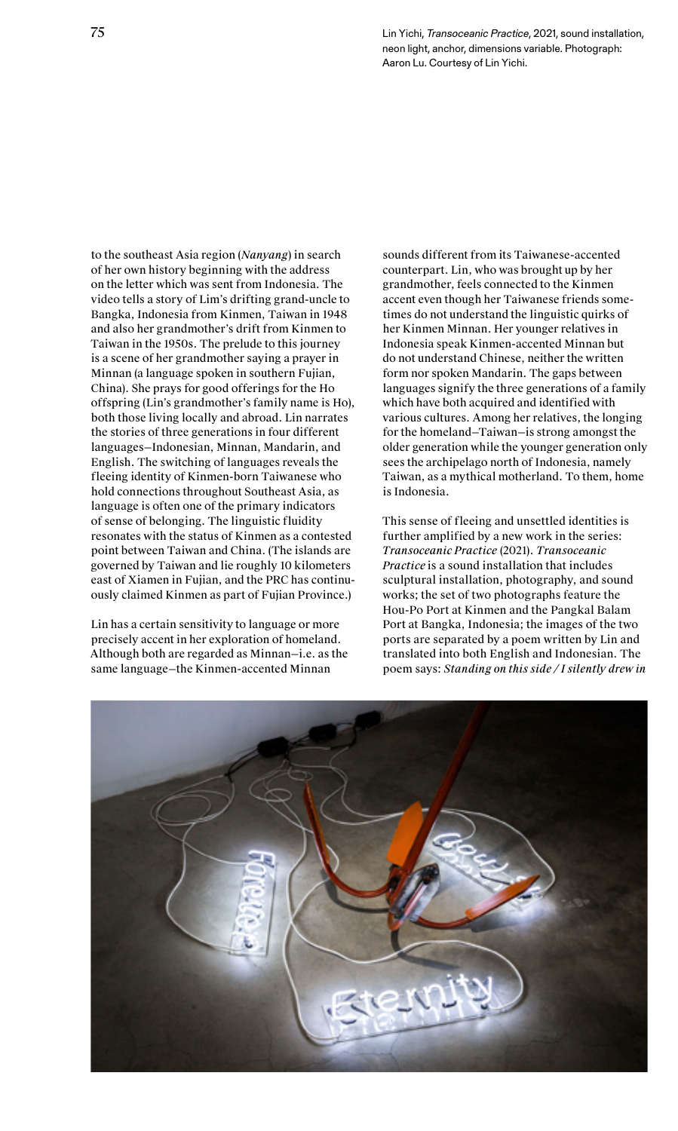75 Lin Yichi, *Transoceanic Practice*, 2021, sound installation, neon light, anchor, dimensions variable. Photograph: Aaron Lu. Courtesy of Lin Yichi.

to the southeast Asia region (*Nanyang*) in search of her own history beginning with the address on the letter which was sent from Indonesia. The video tells a story of Lim's drifting grand-uncle to Bangka, Indonesia from Kinmen, Taiwan in 1948 and also her grandmother's drift from Kinmen to Taiwan in the 1950s. The prelude to this journey is a scene of her grandmother saying a prayer in Minnan (a language spoken in southern Fujian, China). She prays for good offerings for the Ho offspring (Lin's grandmother's family name is Ho), both those living locally and abroad. Lin narrates the stories of three generations in four different languages—Indonesian, Minnan, Mandarin, and English. The switching of languages reveals the fleeing identity of Kinmen-born Taiwanese who hold connections throughout Southeast Asia, as language is often one of the primary indicators of sense of belonging. The linguistic fluidity resonates with the status of Kinmen as a contested point between Taiwan and China. (The islands are governed by Taiwan and lie roughly 10 kilometers east of Xiamen in Fujian, and the PRC has continuously claimed Kinmen as part of Fujian Province.)

Lin has a certain sensitivity to language or more precisely accent in her exploration of homeland. Although both are regarded as Minnan—i.e. as the same language—the Kinmen-accented Minnan

sounds different from its Taiwanese-accented counterpart. Lin, who was brought up by her grandmother, feels connected to the Kinmen accent even though her Taiwanese friends sometimes do not understand the linguistic quirks of her Kinmen Minnan. Her younger relatives in Indonesia speak Kinmen-accented Minnan but do not understand Chinese, neither the written form nor spoken Mandarin. The gaps between languages signify the three generations of a family which have both acquired and identified with various cultures. Among her relatives, the longing for the homeland—Taiwan—is strong amongst the older generation while the younger generation only sees the archipelago north of Indonesia, namely Taiwan, as a mythical motherland. To them, home is Indonesia.

This sense of fleeing and unsettled identities is further amplified by a new work in the series: *Transoceanic Practice* (2021). *Transoceanic Practice* is a sound installation that includes sculptural installation, photography, and sound works; the set of two photographs feature the Hou-Po Port at Kinmen and the Pangkal Balam Port at Bangka, Indonesia; the images of the two ports are separated by a poem written by Lin and translated into both English and Indonesian. The poem says: *Standing on this side / I silently drew in* 

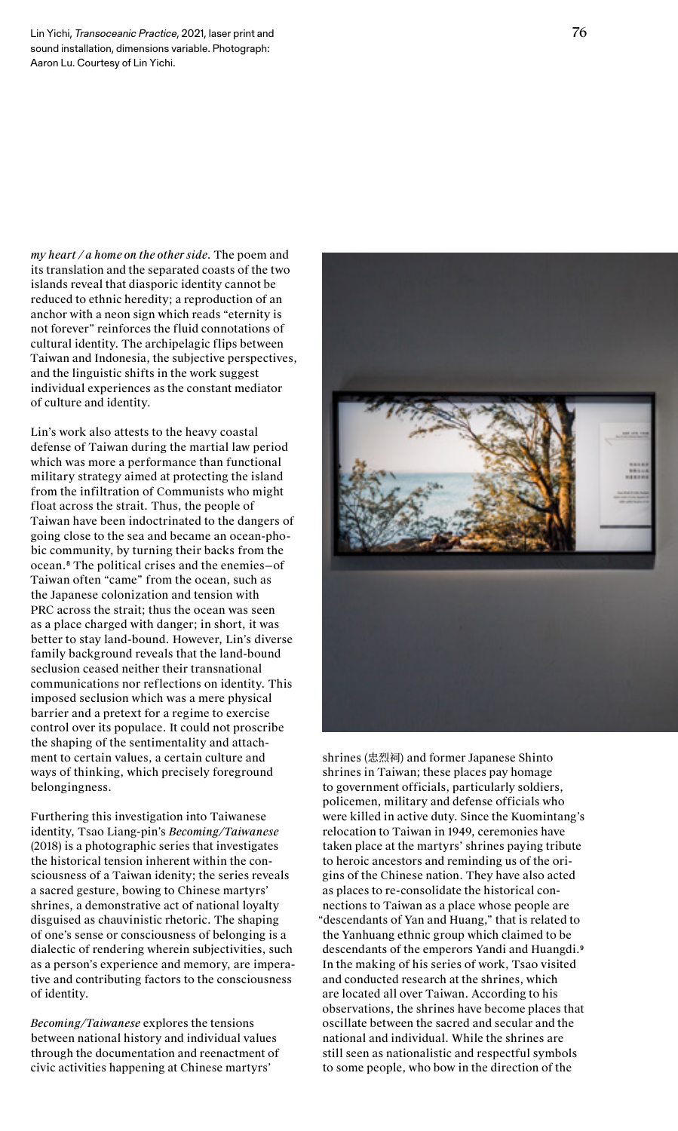*my heart / a home on the other side*. The poem and its translation and the separated coasts of the two islands reveal that diasporic identity cannot be reduced to ethnic heredity; a reproduction of an anchor with a neon sign which reads "eternity is not forever" reinforces the fluid connotations of cultural identity. The archipelagic flips between Taiwan and Indonesia, the subjective perspectives, and the linguistic shifts in the work suggest individual experiences as the constant mediator of culture and identity.

Lin's work also attests to the heavy coastal defense of Taiwan during the martial law period which was more a performance than functional military strategy aimed at protecting the island from the infiltration of Communists who might float across the strait. Thus, the people of Taiwan have been indoctrinated to the dangers of going close to the sea and became an ocean-phobic community, by turning their backs from the ocean.<sup>8</sup> The political crises and the enemies—of Taiwan often "came" from the ocean, such as the Japanese colonization and tension with PRC across the strait; thus the ocean was seen as a place charged with danger; in short, it was better to stay land-bound. However, Lin's diverse family background reveals that the land-bound seclusion ceased neither their transnational communications nor reflections on identity. This imposed seclusion which was a mere physical barrier and a pretext for a regime to exercise control over its populace. It could not proscribe the shaping of the sentimentality and attachment to certain values, a certain culture and ways of thinking, which precisely foreground belongingness.

Furthering this investigation into Taiwanese identity, Tsao Liang-pin's *Becoming/Taiwanese* (2018) is a photographic series that investigates the historical tension inherent within the consciousness of a Taiwan idenity; the series reveals a sacred gesture, bowing to Chinese martyrs' shrines, a demonstrative act of national loyalty disguised as chauvinistic rhetoric. The shaping of one's sense or consciousness of belonging is a dialectic of rendering wherein subjectivities, such as a person's experience and memory, are imperative and contributing factors to the consciousness of identity.

*Becoming/Taiwanese* explores the tensions between national history and individual values through the documentation and reenactment of civic activities happening at Chinese martyrs'



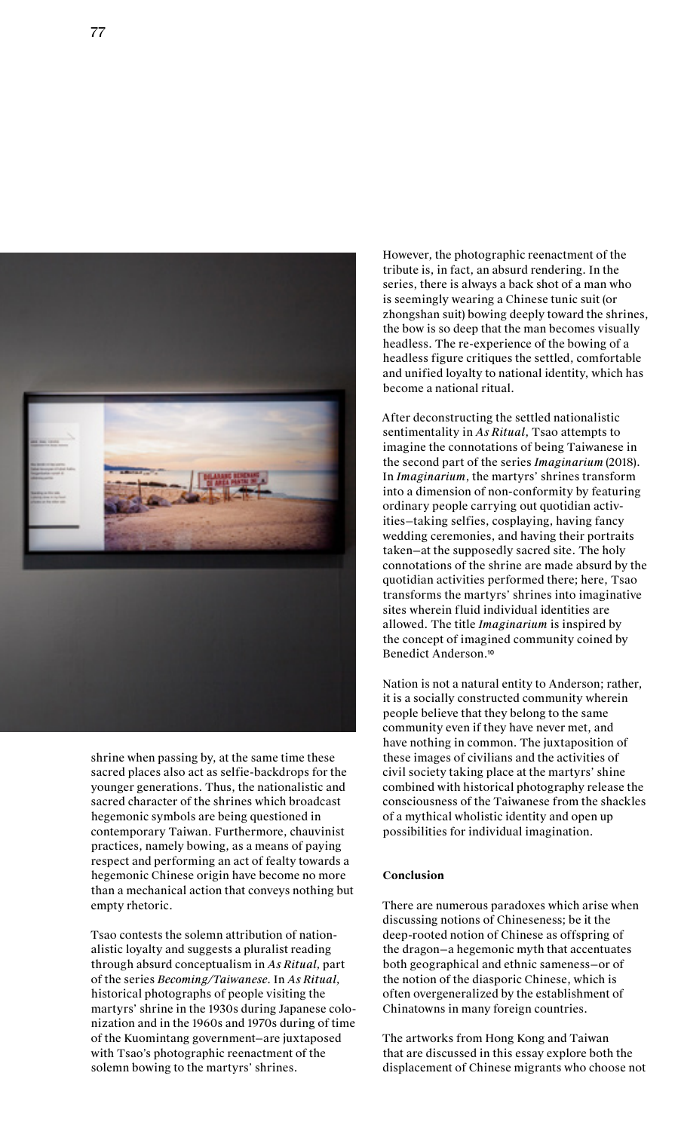

shrine when passing by, at the same time these sacred places also act as selfie-backdrops for the younger generations. Thus, the nationalistic and sacred character of the shrines which broadcast hegemonic symbols are being questioned in contemporary Taiwan. Furthermore, chauvinist practices, namely bowing, as a means of paying respect and performing an act of fealty towards a hegemonic Chinese origin have become no more than a mechanical action that conveys nothing but empty rhetoric.

Tsao contests the solemn attribution of nationalistic loyalty and suggests a pluralist reading through absurd conceptualism in *As Ritual,* part of the series *Becoming/Taiwanese*. In *As Ritual,* historical photographs of people visiting the martyrs' shrine in the 1930s during Japanese colonization and in the 1960s and 1970s during of time of the Kuomintang government—are juxtaposed with Tsao's photographic reenactment of the solemn bowing to the martyrs' shrines.

However, the photographic reenactment of the tribute is, in fact, an absurd rendering. In the series, there is always a back shot of a man who is seemingly wearing a Chinese tunic suit (or zhongshan suit) bowing deeply toward the shrines, the bow is so deep that the man becomes visually headless. The re-experience of the bowing of a headless figure critiques the settled, comfortable and unified loyalty to national identity, which has become a national ritual.

After deconstructing the settled nationalistic sentimentality in *As Ritual*, Tsao attempts to imagine the connotations of being Taiwanese in the second part of the series *Imaginarium* (2018)*.*  In *Imaginarium*, the martyrs' shrines transform into a dimension of non-conformity by featuring ordinary people carrying out quotidian activities—taking selfies, cosplaying, having fancy wedding ceremonies, and having their portraits taken—at the supposedly sacred site. The holy connotations of the shrine are made absurd by the quotidian activities performed there; here, Tsao transforms the martyrs' shrines into imaginative sites wherein fluid individual identities are allowed. The title *Imaginarium* is inspired by the concept of imagined community coined by Benedict Anderson.<sup>10</sup>

Nation is not a natural entity to Anderson; rather, it is a socially constructed community wherein people believe that they belong to the same community even if they have never met, and have nothing in common. The juxtaposition of these images of civilians and the activities of civil society taking place at the martyrs' shine combined with historical photography release the consciousness of the Taiwanese from the shackles of a mythical wholistic identity and open up possibilities for individual imagination.

## **Conclusion**

There are numerous paradoxes which arise when discussing notions of Chineseness; be it the deep-rooted notion of Chinese as offspring of the dragon—a hegemonic myth that accentuates both geographical and ethnic sameness—or of the notion of the diasporic Chinese, which is often overgeneralized by the establishment of Chinatowns in many foreign countries.

The artworks from Hong Kong and Taiwan that are discussed in this essay explore both the displacement of Chinese migrants who choose not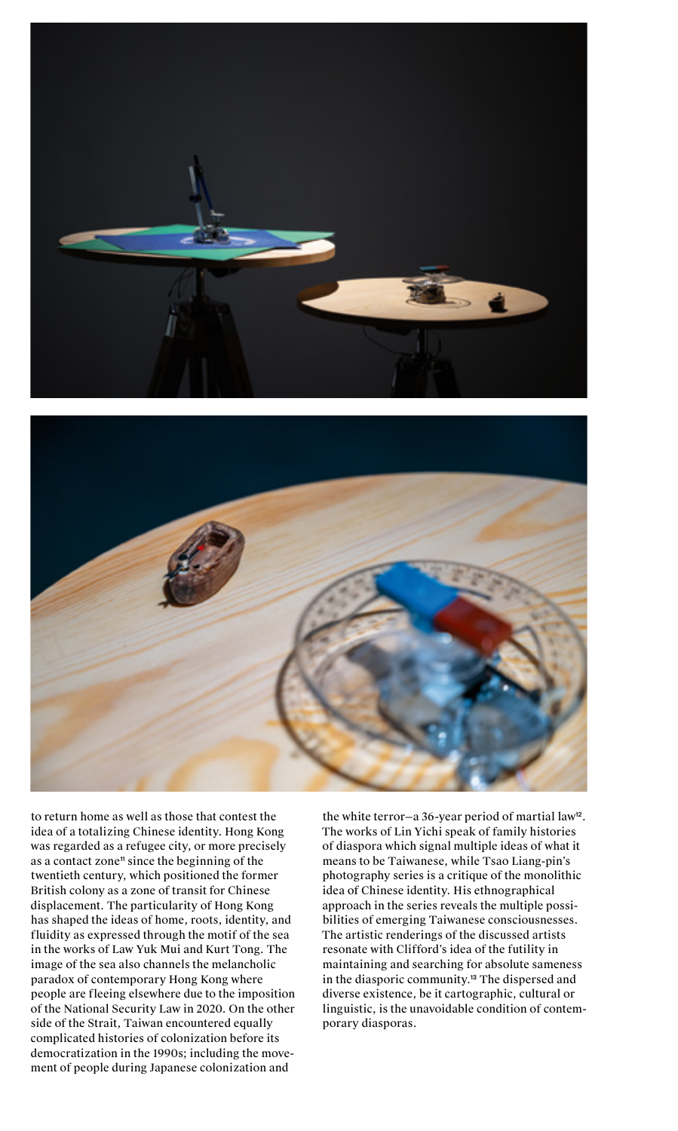



to return home as well as those that contest the idea of a totalizing Chinese identity. Hong Kong was regarded as a refugee city, or more precisely as a contact zone<sup>11</sup> since the beginning of the twentieth century, which positioned the former British colony as a zone of transit for Chinese displacement. The particularity of Hong Kong has shaped the ideas of home, roots, identity, and fluidity as expressed through the motif of the sea in the works of Law Yuk Mui and Kurt Tong. The image of the sea also channels the melancholic paradox of contemporary Hong Kong where people are fleeing elsewhere due to the imposition of the National Security Law in 2020. On the other side of the Strait, Taiwan encountered equally complicated histories of colonization before its democratization in the 1990s; including the movement of people during Japanese colonization and

the white terror-a 36-year period of martial law<sup>12</sup>. The works of Lin Yichi speak of family histories of diaspora which signal multiple ideas of what it means to be Taiwanese, while Tsao Liang-pin's photography series is a critique of the monolithic idea of Chinese identity. His ethnographical approach in the series reveals the multiple possibilities of emerging Taiwanese consciousnesses. The artistic renderings of the discussed artists resonate with Clifford's idea of the futility in maintaining and searching for absolute sameness in the diasporic community.<sup>13</sup> The dispersed and diverse existence, be it cartographic, cultural or linguistic, is the unavoidable condition of contemporary diasporas.